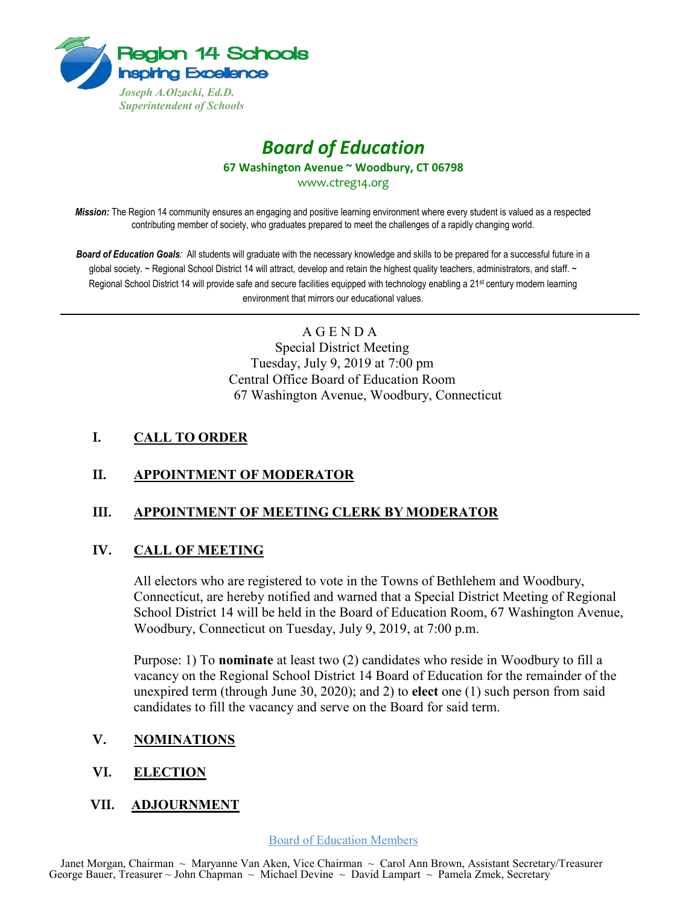

# *Board of Education* **67 Washington Avenue ~ Woodbury, CT 06798**

www.ctreg14.org

*Mission:* The Region 14 community ensures an engaging and positive learning environment where every student is valued as a respected contributing member of society, who graduates prepared to meet the challenges of a rapidly changing world.

*Board of Education Goals:* All students will graduate with the necessary knowledge and skills to be prepared for a successful future in a global society. ~ Regional School District 14 will attract, develop and retain the highest quality teachers, administrators, and staff. ~ Regional School District 14 will provide safe and secure facilities equipped with technology enabling a 21<sup>st</sup> century modern learning environment that mirrors our educational values.

> A G E N D A Special District Meeting Tuesday, July 9, 2019 at 7:00 pm Central Office Board of Education Room 67 Washington Avenue, Woodbury, Connecticut

## **I. CALL TO ORDER**

### **II. APPOINTMENT OF MODERATOR**

### **III. APPOINTMENT OF MEETING CLERK BY MODERATOR**

### **IV. CALL OF MEETING**

All electors who are registered to vote in the Towns of Bethlehem and Woodbury, Connecticut, are hereby notified and warned that a Special District Meeting of Regional School District 14 will be held in the Board of Education Room, 67 Washington Avenue, Woodbury, Connecticut on Tuesday, July 9, 2019, at 7:00 p.m.

Purpose: 1) To **nominate** at least two (2) candidates who reside in Woodbury to fill a vacancy on the Regional School District 14 Board of Education for the remainder of the unexpired term (through June 30, 2020); and 2) to **elect** one (1) such person from said candidates to fill the vacancy and serve on the Board for said term.

### **V. NOMINATIONS**

### **VI. ELECTION**

### **VII. ADJOURNMENT**

Board of Education Members